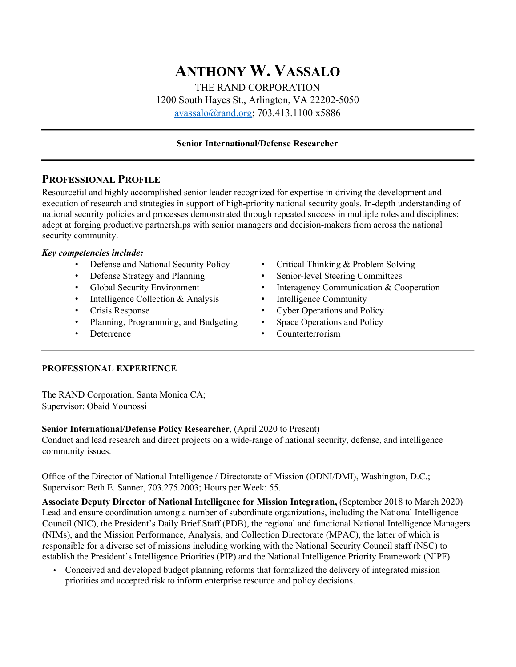# **ANTHONY W. VASSALO** THE RAND CORPORATION 1200 South Hayes St., Arlington, VA 22202-5050 avassalo@rand.org; 703.413.1100 x5886

### **Senior International/Defense Researcher**

## **PROFESSIONAL PROFILE**

Resourceful and highly accomplished senior leader recognized for expertise in driving the development and execution of research and strategies in support of high-priority national security goals. In-depth understanding of national security policies and processes demonstrated through repeated success in multiple roles and disciplines; adept at forging productive partnerships with senior managers and decision-makers from across the national security community.

#### *Key competencies include:*

- Defense and National Security Policy
- Defense Strategy and Planning
- Global Security Environment
- Intelligence Collection & Analysis
- Crisis Response
- Planning, Programming, and Budgeting
- **Deterrence**
- Critical Thinking & Problem Solving
- Senior-level Steering Committees
- Interagency Communication & Cooperation
- Intelligence Community
- Cyber Operations and Policy
- Space Operations and Policy
- Counterterrorism

#### **PROFESSIONAL EXPERIENCE**

The RAND Corporation, Santa Monica CA; Supervisor: Obaid Younossi

#### **Senior International/Defense Policy Researcher**, (April 2020 to Present)

Conduct and lead research and direct projects on a wide-range of national security, defense, and intelligence community issues.

Office of the Director of National Intelligence / Directorate of Mission (ODNI/DMI), Washington, D.C.; Supervisor: Beth E. Sanner, 703.275.2003; Hours per Week: 55.

**Associate Deputy Director of National Intelligence for Mission Integration,** (September 2018 to March 2020) Lead and ensure coordination among a number of subordinate organizations, including the National Intelligence Council (NIC), the President's Daily Brief Staff (PDB), the regional and functional National Intelligence Managers (NIMs), and the Mission Performance, Analysis, and Collection Directorate (MPAC), the latter of which is responsible for a diverse set of missions including working with the National Security Council staff (NSC) to establish the President's Intelligence Priorities (PIP) and the National Intelligence Priority Framework (NIPF).

• Conceived and developed budget planning reforms that formalized the delivery of integrated mission priorities and accepted risk to inform enterprise resource and policy decisions.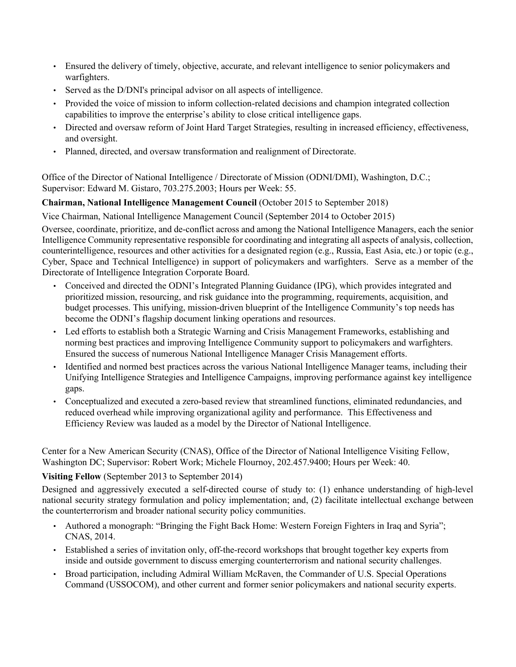- Ensured the delivery of timely, objective, accurate, and relevant intelligence to senior policymakers and warfighters.
- Served as the D/DNI's principal advisor on all aspects of intelligence.
- Provided the voice of mission to inform collection-related decisions and champion integrated collection capabilities to improve the enterprise's ability to close critical intelligence gaps.
- Directed and oversaw reform of Joint Hard Target Strategies, resulting in increased efficiency, effectiveness, and oversight.
- Planned, directed, and oversaw transformation and realignment of Directorate.

Office of the Director of National Intelligence / Directorate of Mission (ODNI/DMI), Washington, D.C.; Supervisor: Edward M. Gistaro, 703.275.2003; Hours per Week: 55.

## **Chairman, National Intelligence Management Council** (October 2015 to September 2018)

Vice Chairman, National Intelligence Management Council (September 2014 to October 2015)

Oversee, coordinate, prioritize, and de-conflict across and among the National Intelligence Managers, each the senior Intelligence Community representative responsible for coordinating and integrating all aspects of analysis, collection, counterintelligence, resources and other activities for a designated region (e.g., Russia, East Asia, etc.) or topic (e.g., Cyber, Space and Technical Intelligence) in support of policymakers and warfighters. Serve as a member of the Directorate of Intelligence Integration Corporate Board.

- Conceived and directed the ODNI's Integrated Planning Guidance (IPG), which provides integrated and prioritized mission, resourcing, and risk guidance into the programming, requirements, acquisition, and budget processes. This unifying, mission-driven blueprint of the Intelligence Community's top needs has become the ODNI's flagship document linking operations and resources.
- Led efforts to establish both a Strategic Warning and Crisis Management Frameworks, establishing and norming best practices and improving Intelligence Community support to policymakers and warfighters. Ensured the success of numerous National Intelligence Manager Crisis Management efforts.
- Identified and normed best practices across the various National Intelligence Manager teams, including their Unifying Intelligence Strategies and Intelligence Campaigns, improving performance against key intelligence gaps.
- Conceptualized and executed a zero-based review that streamlined functions, eliminated redundancies, and reduced overhead while improving organizational agility and performance. This Effectiveness and Efficiency Review was lauded as a model by the Director of National Intelligence.

Center for a New American Security (CNAS), Office of the Director of National Intelligence Visiting Fellow, Washington DC; Supervisor: Robert Work; Michele Flournoy, 202.457.9400; Hours per Week: 40.

#### **Visiting Fellow** (September 2013 to September 2014)

Designed and aggressively executed a self-directed course of study to: (1) enhance understanding of high-level national security strategy formulation and policy implementation; and, (2) facilitate intellectual exchange between the counterterrorism and broader national security policy communities.

- Authored a monograph: "Bringing the Fight Back Home: Western Foreign Fighters in Iraq and Syria"; CNAS, 2014.
- Established a series of invitation only, off-the-record workshops that brought together key experts from inside and outside government to discuss emerging counterterrorism and national security challenges.
- Broad participation, including Admiral William McRaven, the Commander of U.S. Special Operations Command (USSOCOM), and other current and former senior policymakers and national security experts.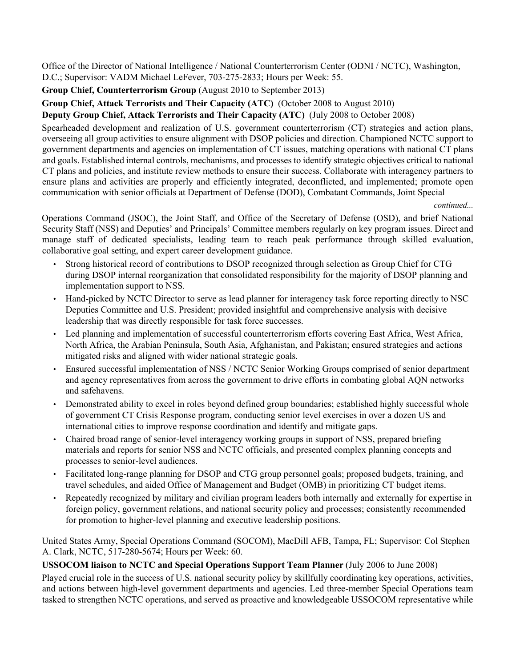Office of the Director of National Intelligence / National Counterterrorism Center (ODNI / NCTC), Washington, D.C.; Supervisor: VADM Michael LeFever, 703-275-2833; Hours per Week: 55.

**Group Chief, Counterterrorism Group** (August 2010 to September 2013)

#### **Group Chief, Attack Terrorists and Their Capacity (ATC)** (October 2008 to August 2010)

#### **Deputy Group Chief, Attack Terrorists and Their Capacity (ATC)** (July 2008 to October 2008)

Spearheaded development and realization of U.S. government counterterrorism (CT) strategies and action plans, overseeing all group activities to ensure alignment with DSOP policies and direction. Championed NCTC support to government departments and agencies on implementation of CT issues, matching operations with national CT plans and goals. Established internal controls, mechanisms, and processes to identify strategic objectives critical to national CT plans and policies, and institute review methods to ensure their success. Collaborate with interagency partners to ensure plans and activities are properly and efficiently integrated, deconflicted, and implemented; promote open communication with senior officials at Department of Defense (DOD), Combatant Commands, Joint Special

*continued...* 

Operations Command (JSOC), the Joint Staff, and Office of the Secretary of Defense (OSD), and brief National Security Staff (NSS) and Deputies' and Principals' Committee members regularly on key program issues. Direct and manage staff of dedicated specialists, leading team to reach peak performance through skilled evaluation, collaborative goal setting, and expert career development guidance.

- Strong historical record of contributions to DSOP recognized through selection as Group Chief for CTG during DSOP internal reorganization that consolidated responsibility for the majority of DSOP planning and implementation support to NSS.
- Hand-picked by NCTC Director to serve as lead planner for interagency task force reporting directly to NSC Deputies Committee and U.S. President; provided insightful and comprehensive analysis with decisive leadership that was directly responsible for task force successes.
- Led planning and implementation of successful counterterrorism efforts covering East Africa, West Africa, North Africa, the Arabian Peninsula, South Asia, Afghanistan, and Pakistan; ensured strategies and actions mitigated risks and aligned with wider national strategic goals.
- Ensured successful implementation of NSS / NCTC Senior Working Groups comprised of senior department and agency representatives from across the government to drive efforts in combating global AQN networks and safehavens.
- Demonstrated ability to excel in roles beyond defined group boundaries; established highly successful whole of government CT Crisis Response program, conducting senior level exercises in over a dozen US and international cities to improve response coordination and identify and mitigate gaps.
- Chaired broad range of senior-level interagency working groups in support of NSS, prepared briefing materials and reports for senior NSS and NCTC officials, and presented complex planning concepts and processes to senior-level audiences.
- Facilitated long-range planning for DSOP and CTG group personnel goals; proposed budgets, training, and travel schedules, and aided Office of Management and Budget (OMB) in prioritizing CT budget items.
- Repeatedly recognized by military and civilian program leaders both internally and externally for expertise in foreign policy, government relations, and national security policy and processes; consistently recommended for promotion to higher-level planning and executive leadership positions.

United States Army, Special Operations Command (SOCOM), MacDill AFB, Tampa, FL; Supervisor: Col Stephen A. Clark, NCTC, 517-280-5674; Hours per Week: 60.

#### **USSOCOM liaison to NCTC and Special Operations Support Team Planner** (July 2006 to June 2008)

Played crucial role in the success of U.S. national security policy by skillfully coordinating key operations, activities, and actions between high-level government departments and agencies. Led three-member Special Operations team tasked to strengthen NCTC operations, and served as proactive and knowledgeable USSOCOM representative while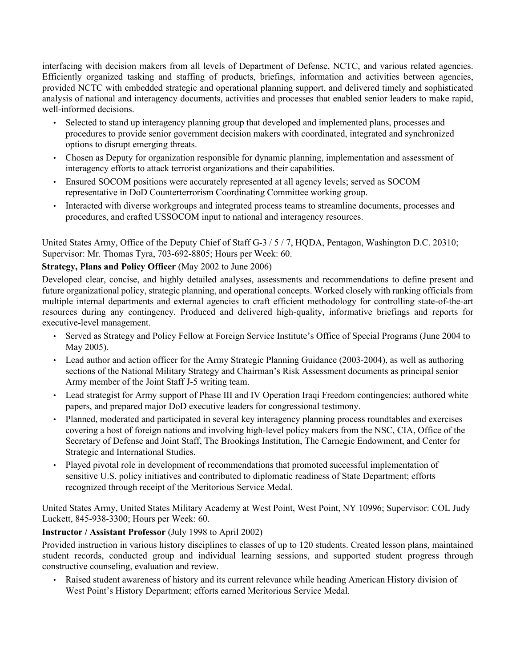interfacing with decision makers from all levels of Department of Defense, NCTC, and various related agencies. Efficiently organized tasking and staffing of products, briefings, information and activities between agencies, provided NCTC with embedded strategic and operational planning support, and delivered timely and sophisticated analysis of national and interagency documents, activities and processes that enabled senior leaders to make rapid, well-informed decisions.

- Selected to stand up interagency planning group that developed and implemented plans, processes and procedures to provide senior government decision makers with coordinated, integrated and synchronized options to disrupt emerging threats.
- Chosen as Deputy for organization responsible for dynamic planning, implementation and assessment of interagency efforts to attack terrorist organizations and their capabilities.
- Ensured SOCOM positions were accurately represented at all agency levels; served as SOCOM representative in DoD Counterterrorism Coordinating Committee working group.
- Interacted with diverse workgroups and integrated process teams to streamline documents, processes and procedures, and crafted USSOCOM input to national and interagency resources.

United States Army, Office of the Deputy Chief of Staff G-3 / 5 / 7, HQDA, Pentagon, Washington D.C. 20310; Supervisor: Mr. Thomas Tyra, 703-692-8805; Hours per Week: 60.

## **Strategy, Plans and Policy Officer** (May 2002 to June 2006)

Developed clear, concise, and highly detailed analyses, assessments and recommendations to define present and future organizational policy, strategic planning, and operational concepts. Worked closely with ranking officials from multiple internal departments and external agencies to craft efficient methodology for controlling state-of-the-art resources during any contingency. Produced and delivered high-quality, informative briefings and reports for executive-level management.

- Served as Strategy and Policy Fellow at Foreign Service Institute's Office of Special Programs (June 2004 to May 2005).
- Lead author and action officer for the Army Strategic Planning Guidance (2003-2004), as well as authoring sections of the National Military Strategy and Chairman's Risk Assessment documents as principal senior Army member of the Joint Staff J-5 writing team.
- Lead strategist for Army support of Phase III and IV Operation Iraqi Freedom contingencies; authored white papers, and prepared major DoD executive leaders for congressional testimony.
- Planned, moderated and participated in several key interagency planning process roundtables and exercises covering a host of foreign nations and involving high-level policy makers from the NSC, CIA, Office of the Secretary of Defense and Joint Staff, The Brookings Institution, The Carnegie Endowment, and Center for Strategic and International Studies.
- Played pivotal role in development of recommendations that promoted successful implementation of sensitive U.S. policy initiatives and contributed to diplomatic readiness of State Department; efforts recognized through receipt of the Meritorious Service Medal.

United States Army, United States Military Academy at West Point, West Point, NY 10996; Supervisor: COL Judy Luckett, 845-938-3300; Hours per Week: 60.

#### **Instructor / Assistant Professor** (July 1998 to April 2002)

Provided instruction in various history disciplines to classes of up to 120 students. Created lesson plans, maintained student records, conducted group and individual learning sessions, and supported student progress through constructive counseling, evaluation and review.

• Raised student awareness of history and its current relevance while heading American History division of West Point's History Department; efforts earned Meritorious Service Medal.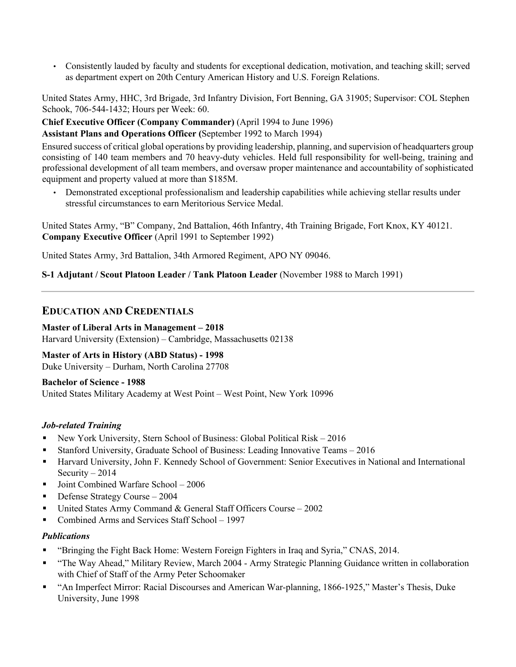• Consistently lauded by faculty and students for exceptional dedication, motivation, and teaching skill; served as department expert on 20th Century American History and U.S. Foreign Relations.

United States Army, HHC, 3rd Brigade, 3rd Infantry Division, Fort Benning, GA 31905; Supervisor: COL Stephen Schook, 706-544-1432; Hours per Week: 60.

**Chief Executive Officer (Company Commander)** (April 1994 to June 1996)

**Assistant Plans and Operations Officer (**September 1992 to March 1994)

Ensured success of critical global operations by providing leadership, planning, and supervision of headquarters group consisting of 140 team members and 70 heavy-duty vehicles. Held full responsibility for well-being, training and professional development of all team members, and oversaw proper maintenance and accountability of sophisticated equipment and property valued at more than \$185M.

• Demonstrated exceptional professionalism and leadership capabilities while achieving stellar results under stressful circumstances to earn Meritorious Service Medal.

United States Army, "B" Company, 2nd Battalion, 46th Infantry, 4th Training Brigade, Fort Knox, KY 40121. **Company Executive Officer** (April 1991 to September 1992)

United States Army, 3rd Battalion, 34th Armored Regiment, APO NY 09046.

**S-1 Adjutant / Scout Platoon Leader / Tank Platoon Leader** (November 1988 to March 1991)

## **EDUCATION AND CREDENTIALS**

**Master of Liberal Arts in Management – 2018**  Harvard University (Extension) – Cambridge, Massachusetts 02138

**Master of Arts in History (ABD Status) - 1998** Duke University – Durham, North Carolina 27708

#### **Bachelor of Science - 1988**

United States Military Academy at West Point – West Point, New York 10996

#### *Job-related Training*

- New York University, Stern School of Business: Global Political Risk 2016
- § Stanford University, Graduate School of Business: Leading Innovative Teams 2016
- Harvard University, John F. Kennedy School of Government: Senior Executives in National and International Security  $-2014$
- Joint Combined Warfare School 2006
- Defense Strategy Course 2004
- United States Army Command & General Staff Officers Course 2002
- Combined Arms and Services Staff School 1997

#### *Publications*

- § "Bringing the Fight Back Home: Western Foreign Fighters in Iraq and Syria," CNAS, 2014.
- § "The Way Ahead," Military Review, March 2004 Army Strategic Planning Guidance written in collaboration with Chief of Staff of the Army Peter Schoomaker
- § "An Imperfect Mirror: Racial Discourses and American War-planning, 1866-1925," Master's Thesis, Duke University, June 1998